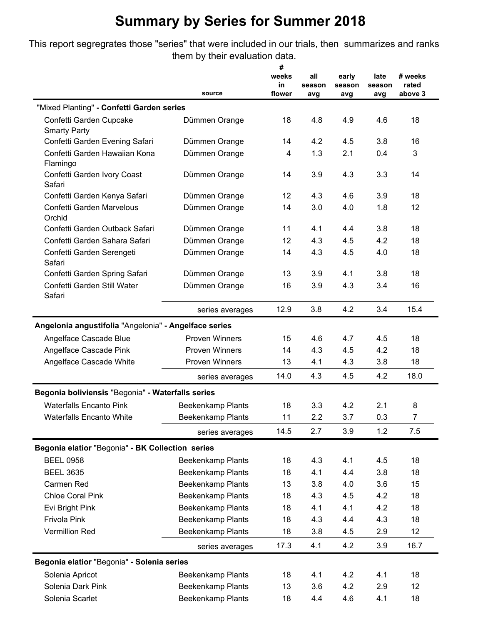This report segregrates those "series" that were included in our trials, then summarizes and ranks them by their evaluation data.

|                                                       | source                   | #<br>weeks<br>in<br>flower | all<br>season<br>avg | early<br>season<br>avg | late<br>season<br>avg | # weeks<br>rated<br>above 3 |
|-------------------------------------------------------|--------------------------|----------------------------|----------------------|------------------------|-----------------------|-----------------------------|
| "Mixed Planting" - Confetti Garden series             |                          |                            |                      |                        |                       |                             |
| Confetti Garden Cupcake                               |                          | 18                         | 4.8                  | 4.9                    | 4.6                   | 18                          |
| <b>Smarty Party</b>                                   | Dümmen Orange            |                            |                      |                        |                       |                             |
| Confetti Garden Evening Safari                        | Dümmen Orange            | 14                         | 4.2                  | 4.5                    | 3.8                   | 16                          |
| Confetti Garden Hawaiian Kona<br>Flamingo             | Dümmen Orange            | 4                          | 1.3                  | 2.1                    | 0.4                   | 3                           |
| Confetti Garden Ivory Coast<br>Safari                 | Dümmen Orange            | 14                         | 3.9                  | 4.3                    | 3.3                   | 14                          |
| Confetti Garden Kenya Safari                          | Dümmen Orange            | 12                         | 4.3                  | 4.6                    | 3.9                   | 18                          |
| Confetti Garden Marvelous<br>Orchid                   | Dümmen Orange            | 14                         | 3.0                  | 4.0                    | 1.8                   | 12                          |
| Confetti Garden Outback Safari                        | Dümmen Orange            | 11                         | 4.1                  | 4.4                    | 3.8                   | 18                          |
| Confetti Garden Sahara Safari                         | Dümmen Orange            | 12                         | 4.3                  | 4.5                    | 4.2                   | 18                          |
| Confetti Garden Serengeti<br>Safari                   | Dümmen Orange            | 14                         | 4.3                  | 4.5                    | 4.0                   | 18                          |
| Confetti Garden Spring Safari                         | Dümmen Orange            | 13                         | 3.9                  | 4.1                    | 3.8                   | 18                          |
| Confetti Garden Still Water<br>Safari                 | Dümmen Orange            | 16                         | 3.9                  | 4.3                    | 3.4                   | 16                          |
|                                                       | series averages          | 12.9                       | 3.8                  | 4.2                    | 3.4                   | 15.4                        |
| Angelonia angustifolia "Angelonia" - Angelface series |                          |                            |                      |                        |                       |                             |
| Angelface Cascade Blue                                | <b>Proven Winners</b>    | 15                         | 4.6                  | 4.7                    | 4.5                   | 18                          |
| Angelface Cascade Pink                                | <b>Proven Winners</b>    | 14                         | 4.3                  | 4.5                    | 4.2                   | 18                          |
| Angelface Cascade White                               | <b>Proven Winners</b>    | 13                         | 4.1                  | 4.3                    | 3.8                   | 18                          |
|                                                       | series averages          | 14.0                       | 4.3                  | 4.5                    | 4.2                   | 18.0                        |
| Begonia boliviensis "Begonia" - Waterfalls series     |                          |                            |                      |                        |                       |                             |
| <b>Waterfalls Encanto Pink</b>                        | <b>Beekenkamp Plants</b> | 18                         | 3.3                  | 4.2                    | 2.1                   | 8                           |
| <b>Waterfalls Encanto White</b>                       | Beekenkamp Plants        | 11                         | 2.2                  | 3.7                    | 0.3                   | 7                           |
|                                                       | series averages          | 14.5                       | 2.7                  | 3.9                    | 1.2                   | 7.5                         |
| Begonia elatior "Begonia" - BK Collection series      |                          |                            |                      |                        |                       |                             |
| <b>BEEL 0958</b>                                      | Beekenkamp Plants        | 18                         | 4.3                  | 4.1                    | 4.5                   | 18                          |
| <b>BEEL 3635</b>                                      | <b>Beekenkamp Plants</b> | 18                         | 4.1                  | 4.4                    | 3.8                   | 18                          |
| Carmen Red                                            | Beekenkamp Plants        | 13                         | 3.8                  | 4.0                    | 3.6                   | 15                          |
| <b>Chloe Coral Pink</b>                               | Beekenkamp Plants        | 18                         | 4.3                  | 4.5                    | 4.2                   | 18                          |
| Evi Bright Pink                                       | Beekenkamp Plants        | 18                         | 4.1                  | 4.1                    | 4.2                   | 18                          |
| Frivola Pink                                          | Beekenkamp Plants        | 18                         | 4.3                  | 4.4                    | 4.3                   | 18                          |
| Vermillion Red                                        | Beekenkamp Plants        | 18                         | 3.8                  | 4.5                    | 2.9                   | 12                          |
|                                                       | series averages          | 17.3                       | 4.1                  | 4.2                    | 3.9                   | 16.7                        |
| Begonia elatior "Begonia" - Solenia series            |                          |                            |                      |                        |                       |                             |
| Solenia Apricot                                       | <b>Beekenkamp Plants</b> | 18                         | 4.1                  | 4.2                    | 4.1                   | 18                          |
| Solenia Dark Pink                                     | <b>Beekenkamp Plants</b> | 13                         | 3.6                  | 4.2                    | 2.9                   | 12                          |
| Solenia Scarlet                                       | Beekenkamp Plants        | 18                         | 4.4                  | 4.6                    | 4.1                   | 18                          |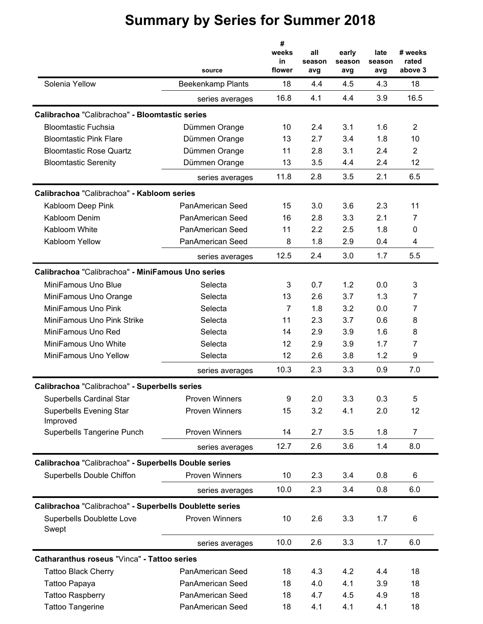|                                                         |                          | #<br>weeks<br>in | all<br>season | early<br>season | late<br>season | # weeks<br>rated |
|---------------------------------------------------------|--------------------------|------------------|---------------|-----------------|----------------|------------------|
| Solenia Yellow                                          | source                   | flower           | avg           | avg             | avg            | above 3<br>18    |
|                                                         | <b>Beekenkamp Plants</b> | 18<br>16.8       | 4.4<br>4.1    | 4.5<br>4.4      | 4.3<br>3.9     | 16.5             |
|                                                         | series averages          |                  |               |                 |                |                  |
| Calibrachoa "Calibrachoa" - Bloomtastic series          |                          |                  |               |                 |                |                  |
| <b>Bloomtastic Fuchsia</b>                              | Dümmen Orange            | 10               | 2.4           | 3.1             | 1.6            | $\overline{2}$   |
| <b>Bloomtastic Pink Flare</b>                           | Dümmen Orange            | 13               | 2.7           | 3.4             | 1.8            | 10               |
| <b>Bloomtastic Rose Quartz</b>                          | Dümmen Orange            | 11               | 2.8           | 3.1             | 2.4            | $\overline{2}$   |
| <b>Bloomtastic Serenity</b>                             | Dümmen Orange            | 13               | 3.5           | 4.4             | 2.4            | 12               |
|                                                         | series averages          | 11.8             | 2.8           | 3.5             | 2.1            | 6.5              |
| Calibrachoa "Calibrachoa" - Kabloom series              |                          |                  |               |                 |                |                  |
| Kabloom Deep Pink                                       | PanAmerican Seed         | 15               | 3.0           | 3.6             | 2.3            | 11               |
| Kabloom Denim                                           | <b>PanAmerican Seed</b>  | 16               | 2.8           | 3.3             | 2.1            | 7                |
| Kabloom White                                           | PanAmerican Seed         | 11               | 2.2           | 2.5             | 1.8            | 0                |
| Kabloom Yellow                                          | PanAmerican Seed         | 8                | 1.8           | 2.9             | 0.4            | 4                |
|                                                         | series averages          | 12.5             | 2.4           | 3.0             | 1.7            | 5.5              |
| Calibrachoa "Calibrachoa" - MiniFamous Uno series       |                          |                  |               |                 |                |                  |
| MiniFamous Uno Blue                                     | Selecta                  | 3                | 0.7           | 1.2             | 0.0            | 3                |
| MiniFamous Uno Orange                                   | Selecta                  | 13               | 2.6           | 3.7             | 1.3            | 7                |
| MiniFamous Uno Pink                                     | Selecta                  | $\overline{7}$   | 1.8           | 3.2             | 0.0            | $\overline{7}$   |
| MiniFamous Uno Pink Strike                              | Selecta                  | 11               | 2.3           | 3.7             | 0.6            | 8                |
| MiniFamous Uno Red                                      | Selecta                  | 14               | 2.9           | 3.9             | 1.6            | 8                |
| MiniFamous Uno White                                    | Selecta                  | 12               | 2.9           | 3.9             | 1.7            | 7                |
| MiniFamous Uno Yellow                                   | Selecta                  | 12               | 2.6           | 3.8             | 1.2            | 9                |
|                                                         | series averages          | 10.3             | 2.3           | 3.3             | 0.9            | 7.0              |
| Calibrachoa "Calibrachoa" - Superbells series           |                          |                  |               |                 |                |                  |
| <b>Superbells Cardinal Star</b>                         | <b>Proven Winners</b>    | 9                | 2.0           | 3.3             | 0.3            | 5                |
| <b>Superbells Evening Star</b>                          | <b>Proven Winners</b>    | 15               | 3.2           | 4.1             | 2.0            | 12               |
| Improved                                                |                          |                  |               |                 |                |                  |
| Superbells Tangerine Punch                              | <b>Proven Winners</b>    | 14               | 2.7           | 3.5             | 1.8            | $\overline{7}$   |
|                                                         | series averages          | 12.7             | 2.6           | 3.6             | 1.4            | 8.0              |
| Calibrachoa "Calibrachoa" - Superbells Double series    |                          |                  |               |                 |                |                  |
| Superbells Double Chiffon                               | <b>Proven Winners</b>    | 10               | 2.3           | 3.4             | 0.8            | 6                |
|                                                         | series averages          | 10.0             | 2.3           | 3.4             | 0.8            | 6.0              |
| Calibrachoa "Calibrachoa" - Superbells Doublette series |                          |                  |               |                 |                |                  |
| Superbells Doublette Love<br>Swept                      | <b>Proven Winners</b>    | 10               | 2.6           | 3.3             | 1.7            | 6                |
|                                                         | series averages          | 10.0             | 2.6           | 3.3             | 1.7            | 6.0              |
| Catharanthus roseus "Vinca" - Tattoo series             |                          |                  |               |                 |                |                  |
| <b>Tattoo Black Cherry</b>                              | PanAmerican Seed         | 18               | 4.3           | 4.2             | 4.4            | 18               |
| Tattoo Papaya                                           | PanAmerican Seed         | 18               | 4.0           | 4.1             | 3.9            | 18               |
| <b>Tattoo Raspberry</b>                                 | PanAmerican Seed         | 18               | 4.7           | 4.5             | 4.9            | 18               |
| <b>Tattoo Tangerine</b>                                 | PanAmerican Seed         | 18               | 4.1           | 4.1             | 4.1            | 18               |
|                                                         |                          |                  |               |                 |                |                  |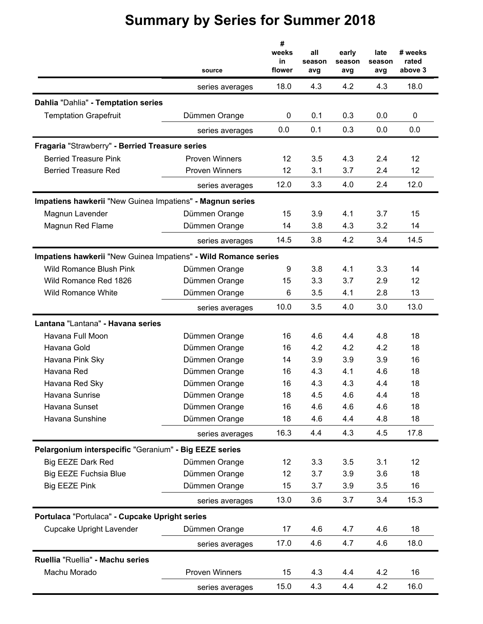|                                                                 | source                | #<br>weeks<br>in<br>flower | all<br>season<br>avg | early<br>season<br>avg | late<br>season<br>avg | # weeks<br>rated<br>above 3 |
|-----------------------------------------------------------------|-----------------------|----------------------------|----------------------|------------------------|-----------------------|-----------------------------|
|                                                                 | series averages       | 18.0                       | 4.3                  | 4.2                    | 4.3                   | 18.0                        |
| Dahlia "Dahlia" - Temptation series                             |                       |                            |                      |                        |                       |                             |
| <b>Temptation Grapefruit</b>                                    | Dümmen Orange         | 0                          | 0.1                  | 0.3                    | 0.0                   | 0                           |
|                                                                 | series averages       | 0.0                        | 0.1                  | 0.3                    | 0.0                   | 0.0                         |
| Fragaria "Strawberry" - Berried Treasure series                 |                       |                            |                      |                        |                       |                             |
| <b>Berried Treasure Pink</b>                                    | <b>Proven Winners</b> | 12                         | 3.5                  | 4.3                    | 2.4                   | 12                          |
| <b>Berried Treasure Red</b>                                     | <b>Proven Winners</b> | 12                         | 3.1                  | 3.7                    | 2.4                   | 12                          |
|                                                                 | series averages       | 12.0                       | 3.3                  | 4.0                    | 2.4                   | 12.0                        |
| Impatiens hawkerii "New Guinea Impatiens" - Magnun series       |                       |                            |                      |                        |                       |                             |
| Magnun Lavender                                                 | Dümmen Orange         | 15                         | 3.9                  | 4.1                    | 3.7                   | 15                          |
| Magnun Red Flame                                                | Dümmen Orange         | 14                         | 3.8                  | 4.3                    | 3.2                   | 14                          |
|                                                                 | series averages       | 14.5                       | 3.8                  | 4.2                    | 3.4                   | 14.5                        |
| Impatiens hawkerii "New Guinea Impatiens" - Wild Romance series |                       |                            |                      |                        |                       |                             |
| <b>Wild Romance Blush Pink</b>                                  | Dümmen Orange         | 9                          | 3.8                  | 4.1                    | 3.3                   | 14                          |
| Wild Romance Red 1826                                           | Dümmen Orange         | 15                         | 3.3                  | 3.7                    | 2.9                   | 12                          |
| <b>Wild Romance White</b>                                       | Dümmen Orange         | 6                          | 3.5                  | 4.1                    | 2.8                   | 13                          |
|                                                                 | series averages       | 10.0                       | 3.5                  | 4.0                    | 3.0                   | 13.0                        |
| Lantana "Lantana" - Havana series                               |                       |                            |                      |                        |                       |                             |
| Havana Full Moon                                                | Dümmen Orange         | 16                         | 4.6                  | 4.4                    | 4.8                   | 18                          |
| Havana Gold                                                     | Dümmen Orange         | 16                         | 4.2                  | 4.2                    | 4.2                   | 18                          |
| Havana Pink Sky                                                 | Dümmen Orange         | 14                         | 3.9                  | 3.9                    | 3.9                   | 16                          |
| Havana Red                                                      | Dümmen Orange         | 16                         | 4.3                  | 4.1                    | 4.6                   | 18                          |
| Havana Red Sky                                                  | Dümmen Orange         | 16                         | 4.3                  | 4.3                    | 4.4                   | 18                          |
| Havana Sunrise                                                  | Dümmen Orange         | 18                         | 4.5                  | 4.6                    | 4.4                   | 18                          |
| Havana Sunset                                                   | Dümmen Orange         | 16                         | 4.6                  | 4.6                    | 4.6                   | 18                          |
| Havana Sunshine                                                 | Dümmen Orange         | 18                         | 4.6                  | 4.4                    | 4.8                   | 18                          |
|                                                                 | series averages       | 16.3                       | 4.4                  | 4.3                    | 4.5                   | 17.8                        |
| Pelargonium interspecific "Geranium" - Big EEZE series          |                       |                            |                      |                        |                       |                             |
| Big EEZE Dark Red                                               | Dümmen Orange         | 12                         | 3.3                  | 3.5                    | 3.1                   | 12                          |
| <b>Big EEZE Fuchsia Blue</b>                                    | Dümmen Orange         | 12                         | 3.7                  | 3.9                    | 3.6                   | 18                          |
| <b>Big EEZE Pink</b>                                            | Dümmen Orange         | 15                         | 3.7                  | 3.9                    | 3.5                   | 16                          |
|                                                                 | series averages       | 13.0                       | 3.6                  | 3.7                    | 3.4                   | 15.3                        |
| Portulaca "Portulaca" - Cupcake Upright series                  |                       |                            |                      |                        |                       |                             |
| <b>Cupcake Upright Lavender</b>                                 | Dümmen Orange         | 17                         | 4.6                  | 4.7                    | 4.6                   | 18                          |
|                                                                 | series averages       | 17.0                       | 4.6                  | 4.7                    | 4.6                   | 18.0                        |
| Ruellia "Ruellia" - Machu series                                |                       |                            |                      |                        |                       |                             |
| Machu Morado                                                    | <b>Proven Winners</b> | 15                         | 4.3                  | 4.4                    | 4.2                   | 16                          |
|                                                                 | series averages       | 15.0                       | 4.3                  | 4.4                    | 4.2                   | 16.0                        |